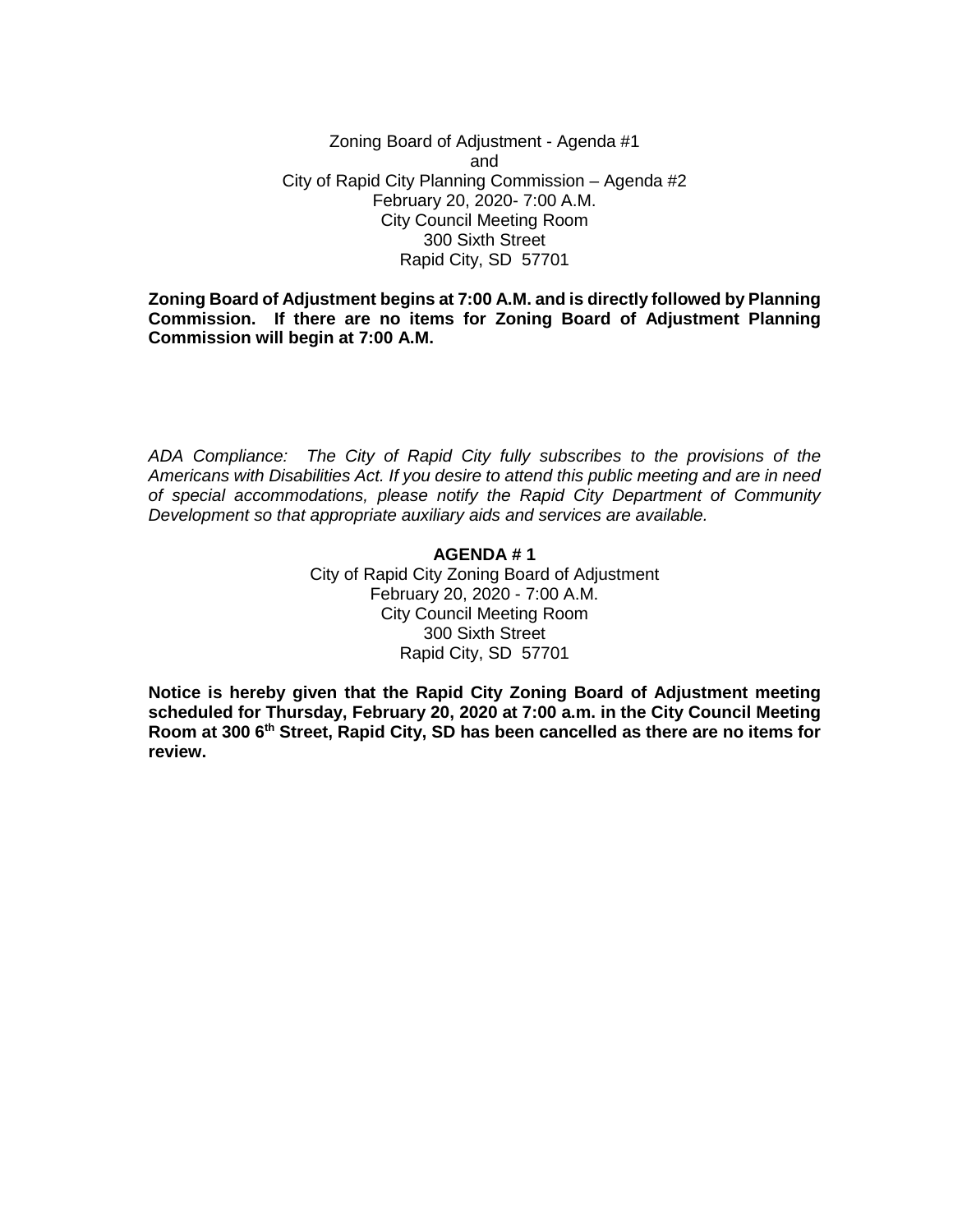Zoning Board of Adjustment - Agenda #1 and City of Rapid City Planning Commission – Agenda #2 February 20, 2020- 7:00 A.M. City Council Meeting Room 300 Sixth Street Rapid City, SD 57701

**Zoning Board of Adjustment begins at 7:00 A.M. and is directly followed by Planning Commission. If there are no items for Zoning Board of Adjustment Planning Commission will begin at 7:00 A.M.**

*ADA Compliance: The City of Rapid City fully subscribes to the provisions of the Americans with Disabilities Act. If you desire to attend this public meeting and are in need of special accommodations, please notify the Rapid City Department of Community Development so that appropriate auxiliary aids and services are available.*

#### **AGENDA # 1**

City of Rapid City Zoning Board of Adjustment February 20, 2020 - 7:00 A.M. City Council Meeting Room 300 Sixth Street Rapid City, SD 57701

**Notice is hereby given that the Rapid City Zoning Board of Adjustment meeting scheduled for Thursday, February 20, 2020 at 7:00 a.m. in the City Council Meeting Room at 300 6th Street, Rapid City, SD has been cancelled as there are no items for review.**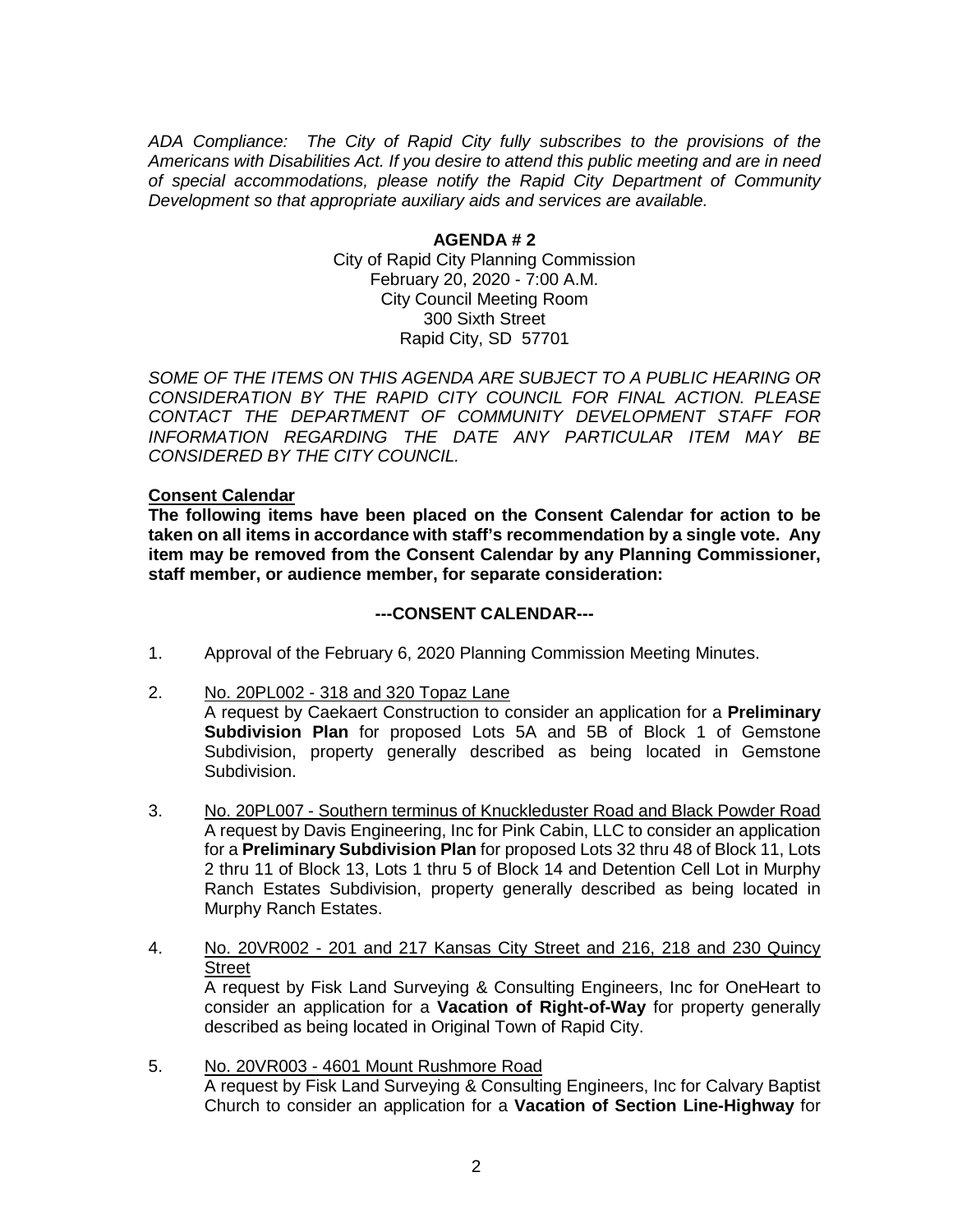*ADA Compliance: The City of Rapid City fully subscribes to the provisions of the Americans with Disabilities Act. If you desire to attend this public meeting and are in need of special accommodations, please notify the Rapid City Department of Community Development so that appropriate auxiliary aids and services are available.*

### **AGENDA # 2** City of Rapid City Planning Commission February 20, 2020 - 7:00 A.M. City Council Meeting Room 300 Sixth Street Rapid City, SD 57701

*SOME OF THE ITEMS ON THIS AGENDA ARE SUBJECT TO A PUBLIC HEARING OR CONSIDERATION BY THE RAPID CITY COUNCIL FOR FINAL ACTION. PLEASE CONTACT THE DEPARTMENT OF COMMUNITY DEVELOPMENT STAFF FOR INFORMATION REGARDING THE DATE ANY PARTICULAR ITEM MAY BE CONSIDERED BY THE CITY COUNCIL.*

### **Consent Calendar**

**The following items have been placed on the Consent Calendar for action to be taken on all items in accordance with staff's recommendation by a single vote. Any item may be removed from the Consent Calendar by any Planning Commissioner, staff member, or audience member, for separate consideration:**

# **---CONSENT CALENDAR---**

- 1. Approval of the February 6, 2020 Planning Commission Meeting Minutes.
- 2. No. 20PL002 318 and 320 Topaz Lane

A request by Caekaert Construction to consider an application for a **Preliminary Subdivision Plan** for proposed Lots 5A and 5B of Block 1 of Gemstone Subdivision, property generally described as being located in Gemstone Subdivision.

- 3. No. 20PL007 Southern terminus of Knuckleduster Road and Black Powder Road A request by Davis Engineering, Inc for Pink Cabin, LLC to consider an application for a **Preliminary Subdivision Plan** for proposed Lots 32 thru 48 of Block 11, Lots 2 thru 11 of Block 13, Lots 1 thru 5 of Block 14 and Detention Cell Lot in Murphy Ranch Estates Subdivision, property generally described as being located in Murphy Ranch Estates.
- 4. No. 20VR002 201 and 217 Kansas City Street and 216, 218 and 230 Quincy **Street** A request by Fisk Land Surveying & Consulting Engineers, Inc for OneHeart to

consider an application for a **Vacation of Right-of-Way** for property generally described as being located in Original Town of Rapid City.

5. No. 20VR003 - 4601 Mount Rushmore Road A request by Fisk Land Surveying & Consulting Engineers, Inc for Calvary Baptist Church to consider an application for a **Vacation of Section Line-Highway** for